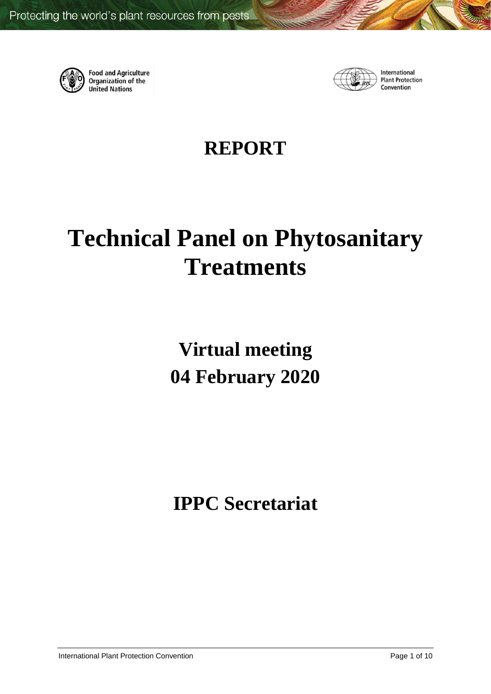

**Food and Agriculture**<br>Organization of the **United Nations** 



International **Plant Protection** Convention

# **REPORT**

# **Technical Panel on Phytosanitary Treatments**

**Virtual meeting 04 February 2020**

**IPPC Secretariat**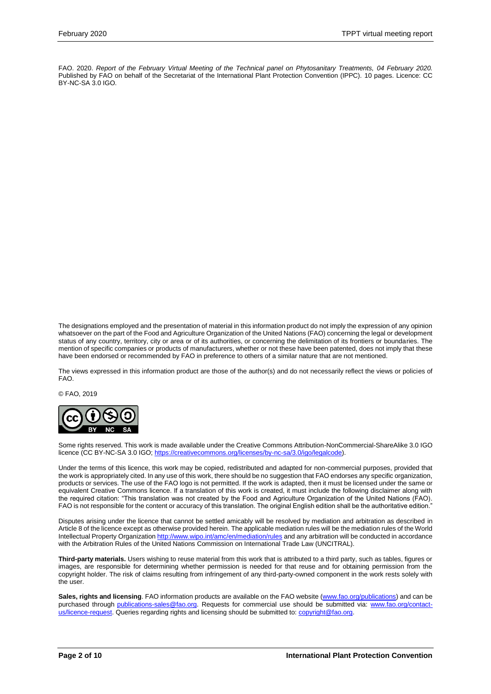FAO. 2020. *Report of the February Virtual Meeting of the Technical panel on Phytosanitary Treatments, 04 February 2020.*  Published by FAO on behalf of the Secretariat of the International Plant Protection Convention (IPPC). 10 pages. Licence: CC BY-NC-SA 3.0 IGO.

The designations employed and the presentation of material in this information product do not imply the expression of any opinion whatsoever on the part of the Food and Agriculture Organization of the United Nations (FAO) concerning the legal or development status of any country, territory, city or area or of its authorities, or concerning the delimitation of its frontiers or boundaries. The mention of specific companies or products of manufacturers, whether or not these have been patented, does not imply that these have been endorsed or recommended by FAO in preference to others of a similar nature that are not mentioned.

The views expressed in this information product are those of the author(s) and do not necessarily reflect the views or policies of FAO.

© FAO, 2019



Some rights reserved. This work is made available under the Creative Commons Attribution-NonCommercial-ShareAlike 3.0 IGO licence (CC BY-NC-SA 3.0 IGO[; https://creativecommons.org/licenses/by-nc-sa/3.0/igo/legalcode\)](https://creativecommons.org/licenses/by-nc-sa/3.0/igo/legalcode).

Under the terms of this licence, this work may be copied, redistributed and adapted for non-commercial purposes, provided that the work is appropriately cited. In any use of this work, there should be no suggestion that FAO endorses any specific organization, products or services. The use of the FAO logo is not permitted. If the work is adapted, then it must be licensed under the same or equivalent Creative Commons licence. If a translation of this work is created, it must include the following disclaimer along with the required citation: "This translation was not created by the Food and Agriculture Organization of the United Nations (FAO). FAO is not responsible for the content or accuracy of this translation. The original English edition shall be the authoritative edition."

Disputes arising under the licence that cannot be settled amicably will be resolved by mediation and arbitration as described in Article 8 of the licence except as otherwise provided herein. The applicable mediation rules will be the mediation rules of the World Intellectual Property Organizatio[n http://www.wipo.int/amc/en/mediation/rules](http://www.wipo.int/amc/en/mediation/rules) and any arbitration will be conducted in accordance with the Arbitration Rules of the United Nations Commission on International Trade Law (UNCITRAL).

**Third-party materials.** Users wishing to reuse material from this work that is attributed to a third party, such as tables, figures or images, are responsible for determining whether permission is needed for that reuse and for obtaining permission from the copyright holder. The risk of claims resulting from infringement of any third-party-owned component in the work rests solely with the user.

Sales, rights and licensing. FAO information products are available on the FAO website [\(www.fao.org/publications\)](http://www.fao.org/publications) and can be purchased through [publications-sales@fao.org.](mailto:publications-sales@fao.org) Requests for commercial use should be submitted via: [www.fao.org/contact](http://www.fao.org/contact-us/licence-request)[us/licence-request.](http://www.fao.org/contact-us/licence-request) Queries regarding rights and licensing should be submitted to: [copyright@fao.org.](mailto:copyright@fao.org)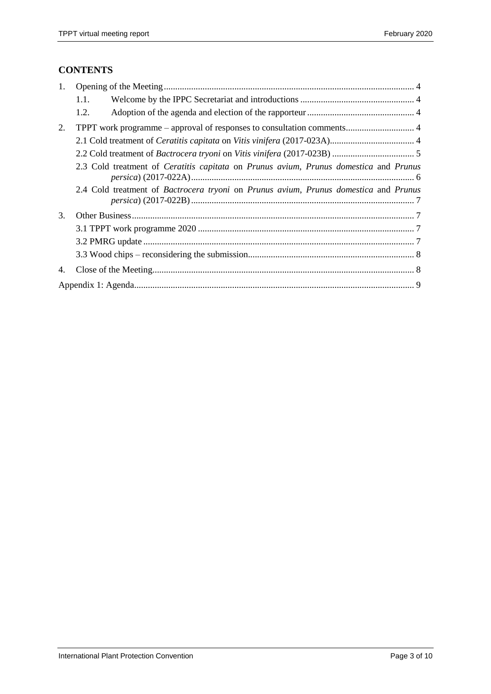# **CONTENTS**

| 1. |      |                                                                                                                    |  |  |  |
|----|------|--------------------------------------------------------------------------------------------------------------------|--|--|--|
|    | 1.1. |                                                                                                                    |  |  |  |
|    | 1.2. |                                                                                                                    |  |  |  |
| 2. |      | TPPT work programme – approval of responses to consultation comments 4                                             |  |  |  |
|    |      |                                                                                                                    |  |  |  |
|    |      |                                                                                                                    |  |  |  |
|    |      | 2.3 Cold treatment of <i>Ceratitis capitata</i> on <i>Prunus avium</i> , <i>Prunus domestica</i> and <i>Prunus</i> |  |  |  |
|    |      | 2.4 Cold treatment of Bactrocera tryoni on Prunus avium, Prunus domestica and Prunus                               |  |  |  |
| 3. |      |                                                                                                                    |  |  |  |
|    |      |                                                                                                                    |  |  |  |
|    |      |                                                                                                                    |  |  |  |
|    |      |                                                                                                                    |  |  |  |
| 4. |      |                                                                                                                    |  |  |  |
|    |      |                                                                                                                    |  |  |  |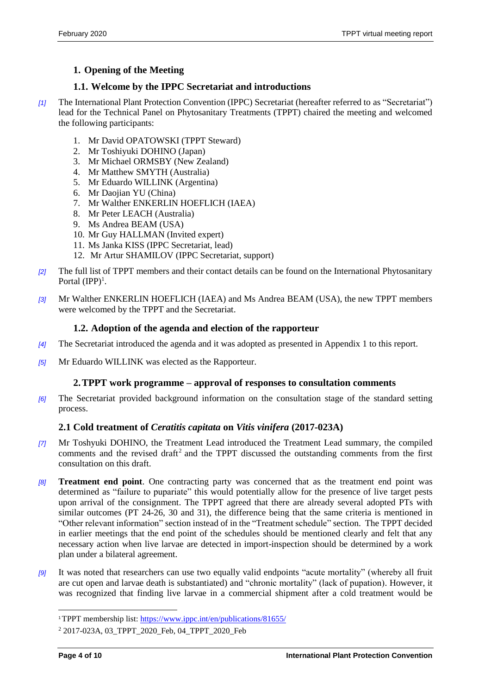# <span id="page-3-0"></span>**1. Opening of the Meeting**

# <span id="page-3-1"></span>**1.1. Welcome by the IPPC Secretariat and introductions**

- *[1]* The International Plant Protection Convention (IPPC) Secretariat (hereafter referred to as "Secretariat") lead for the Technical Panel on Phytosanitary Treatments (TPPT) chaired the meeting and welcomed the following participants:
	- 1. Mr David OPATOWSKI (TPPT Steward)
	- 2. Mr Toshiyuki DOHINO (Japan)
	- 3. Mr Michael ORMSBY (New Zealand)
	- 4. Mr Matthew SMYTH (Australia)
	- 5. Mr Eduardo WILLINK (Argentina)
	- 6. Mr Daojian YU (China)
	- 7. Mr Walther ENKERLIN HOEFLICH (IAEA)
	- 8. Mr Peter LEACH (Australia)
	- 9. Ms Andrea BEAM (USA)
	- 10. Mr Guy HALLMAN (Invited expert)
	- 11. Ms Janka KISS (IPPC Secretariat, lead)
	- 12. Mr Artur SHAMILOV (IPPC Secretariat, support)
- *[2]* The full list of TPPT members and their contact details can be found on the International Phytosanitary Portal  $(IPP)^1$ .
- *[3]* Mr Walther ENKERLIN HOEFLICH (IAEA) and Ms Andrea BEAM (USA), the new TPPT members were welcomed by the TPPT and the Secretariat.

#### <span id="page-3-2"></span>**1.2. Adoption of the agenda and election of the rapporteur**

- *[4]* The Secretariat introduced the agenda and it was adopted as presented in Appendix 1 to this report.
- *[5]* Mr Eduardo WILLINK was elected as the Rapporteur.

#### <span id="page-3-3"></span>**2.TPPT work programme – approval of responses to consultation comments**

*[6]* The Secretariat provided background information on the consultation stage of the standard setting process.

# <span id="page-3-4"></span>**2.1 Cold treatment of** *Ceratitis capitata* **on** *Vitis vinifera* **(2017-023A)**

- *[7]* Mr Toshyuki DOHINO, the Treatment Lead introduced the Treatment Lead summary, the compiled comments and the revised draft<sup>2</sup> and the TPPT discussed the outstanding comments from the first consultation on this draft.
- *[8]* **Treatment end point**. One contracting party was concerned that as the treatment end point was determined as "failure to pupariate" this would potentially allow for the presence of live target pests upon arrival of the consignment. The TPPT agreed that there are already several adopted PTs with similar outcomes (PT 24-26, 30 and 31), the difference being that the same criteria is mentioned in "Other relevant information" section instead of in the "Treatment schedule" section. The TPPT decided in earlier meetings that the end point of the schedules should be mentioned clearly and felt that any necessary action when live larvae are detected in import-inspection should be determined by a work plan under a bilateral agreement.
- *[9]* It was noted that researchers can use two equally valid endpoints "acute mortality" (whereby all fruit are cut open and larvae death is substantiated) and "chronic mortality" (lack of pupation). However, it was recognized that finding live larvae in a commercial shipment after a cold treatment would be

l

<sup>1</sup>TPPT membership list:<https://www.ippc.int/en/publications/81655/>

<sup>2</sup> 2017-023A, 03\_TPPT\_2020\_Feb, 04\_TPPT\_2020\_Feb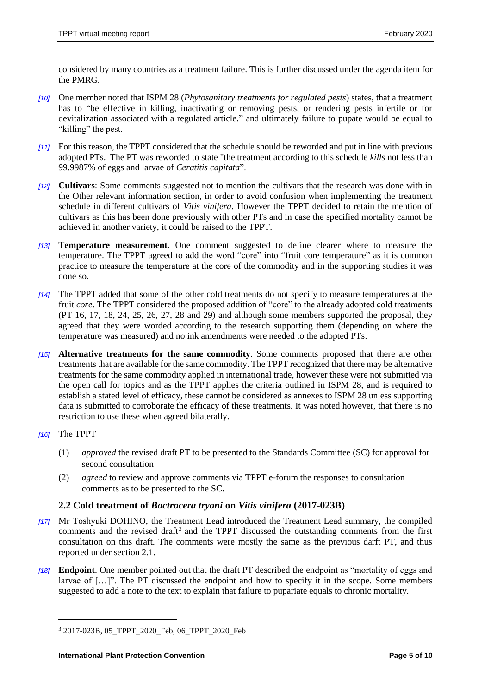considered by many countries as a treatment failure. This is further discussed under the agenda item for the PMRG.

- *[10]* One member noted that ISPM 28 (*Phytosanitary treatments for regulated pests*) states, that a treatment has to "be effective in killing, inactivating or removing pests, or rendering pests infertile or for devitalization associated with a regulated article." and ultimately failure to pupate would be equal to "killing" the pest.
- *[11]* For this reason, the TPPT considered that the schedule should be reworded and put in line with previous adopted PTs. The PT was reworded to state "the treatment according to this schedule *kills* not less than 99.9987% of eggs and larvae of *Ceratitis capitata*".
- *[12]* **Cultivars**: Some comments suggested not to mention the cultivars that the research was done with in the Other relevant information section, in order to avoid confusion when implementing the treatment schedule in different cultivars of *Vitis vinifera*. However the TPPT decided to retain the mention of cultivars as this has been done previously with other PTs and in case the specified mortality cannot be achieved in another variety, it could be raised to the TPPT.
- *[13]* **Temperature measurement**. One comment suggested to define clearer where to measure the temperature. The TPPT agreed to add the word "core" into "fruit core temperature" as it is common practice to measure the temperature at the core of the commodity and in the supporting studies it was done so.
- *[14]* The TPPT added that some of the other cold treatments do not specify to measure temperatures at the fruit *core*. The TPPT considered the proposed addition of "core" to the already adopted cold treatments (PT 16, 17, 18, 24, 25, 26, 27, 28 and 29) and although some members supported the proposal, they agreed that they were worded according to the research supporting them (depending on where the temperature was measured) and no ink amendments were needed to the adopted PTs.
- *[15]* **Alternative treatments for the same commodity**. Some comments proposed that there are other treatments that are available for the same commodity. The TPPT recognized that there may be alternative treatments for the same commodity applied in international trade, however these were not submitted via the open call for topics and as the TPPT applies the criteria outlined in ISPM 28, and is required to establish a stated level of efficacy, these cannot be considered as annexes to ISPM 28 unless supporting data is submitted to corroborate the efficacy of these treatments. It was noted however, that there is no restriction to use these when agreed bilaterally.
- *[16]* The TPPT

 $\overline{a}$ 

- (1) *approved* the revised draft PT to be presented to the Standards Committee (SC) for approval for second consultation
- (2) *agreed* to review and approve comments via TPPT e-forum the responses to consultation comments as to be presented to the SC.

#### <span id="page-4-0"></span>**2.2 Cold treatment of** *Bactrocera tryoni* **on** *Vitis vinifera* **(2017-023B)**

- *[17]* Mr Toshyuki DOHINO, the Treatment Lead introduced the Treatment Lead summary, the compiled comments and the revised draft<sup>3</sup> and the TPPT discussed the outstanding comments from the first consultation on this draft. The comments were mostly the same as the previous darft PT, and thus reported under section 2.1.
- *[18]* **Endpoint**. One member pointed out that the draft PT described the endpoint as "mortality of eggs and larvae of […]". The PT discussed the endpoint and how to specify it in the scope. Some members suggested to add a note to the text to explain that failure to pupariate equals to chronic mortality.

<sup>3</sup> 2017-023B, 05\_TPPT\_2020\_Feb, 06\_TPPT\_2020\_Feb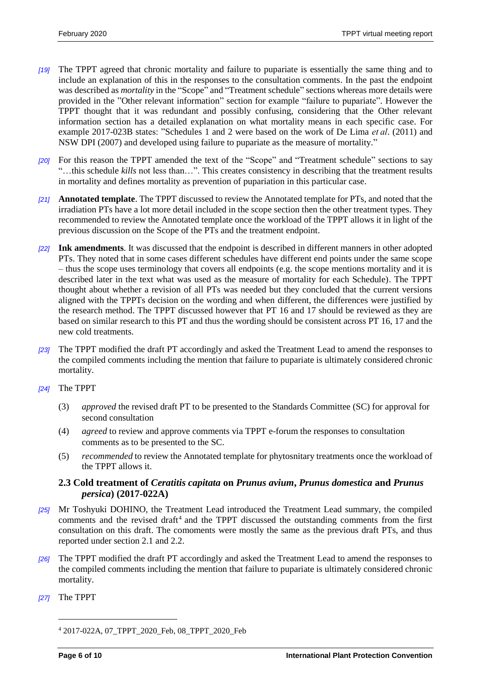- *[19]* The TPPT agreed that chronic mortality and failure to pupariate is essentially the same thing and to include an explanation of this in the responses to the consultation comments. In the past the endpoint was described as *mortality* in the "Scope" and "Treatment schedule" sections whereas more details were provided in the "Other relevant information" section for example "failure to pupariate". However the TPPT thought that it was redundant and possibly confusing, considering that the Other relevant information section has a detailed explanation on what mortality means in each specific case. For example 2017-023B states: "Schedules 1 and 2 were based on the work of De Lima *et al*. (2011) and NSW DPI (2007) and developed using failure to pupariate as the measure of mortality."
- *[20]* For this reason the TPPT amended the text of the "Scope" and "Treatment schedule" sections to say "…this schedule *kills* not less than…". This creates consistency in describing that the treatment results in mortality and defines mortality as prevention of pupariation in this particular case.
- *[21]* **Annotated template**. The TPPT discussed to review the Annotated template for PTs, and noted that the irradiation PTs have a lot more detail included in the scope section then the other treatment types. They recommended to review the Annotated template once the workload of the TPPT allows it in light of the previous discussion on the Scope of the PTs and the treatment endpoint.
- *[22]* **Ink amendments**. It was discussed that the endpoint is described in different manners in other adopted PTs. They noted that in some cases different schedules have different end points under the same scope – thus the scope uses terminology that covers all endpoints (e.g. the scope mentions mortality and it is described later in the text what was used as the measure of mortality for each Schedule). The TPPT thought about whether a revision of all PTs was needed but they concluded that the current versions aligned with the TPPTs decision on the wording and when different, the differences were justified by the research method. The TPPT discussed however that PT 16 and 17 should be reviewed as they are based on similar research to this PT and thus the wording should be consistent across PT 16, 17 and the new cold treatments.
- *[23]* The TPPT modified the draft PT accordingly and asked the Treatment Lead to amend the responses to the compiled comments including the mention that failure to pupariate is ultimately considered chronic mortality.

# *[24]* The TPPT

- (3) *approved* the revised draft PT to be presented to the Standards Committee (SC) for approval for second consultation
- (4) *agreed* to review and approve comments via TPPT e-forum the responses to consultation comments as to be presented to the SC.
- (5) *recommended* to review the Annotated template for phytosnitary treatments once the workload of the TPPT allows it.

# <span id="page-5-0"></span>**2.3 Cold treatment of** *Ceratitis capitata* **on** *Prunus avium***,** *Prunus domestica* **and** *Prunus persica***) (2017-022A)**

- *[25]* Mr Toshyuki DOHINO, the Treatment Lead introduced the Treatment Lead summary, the compiled comments and the revised draft<sup>4</sup> and the TPPT discussed the outstanding comments from the first consultation on this draft. The comoments were mostly the same as the previous draft PTs, and thus reported under section 2.1 and 2.2.
- *[26]* The TPPT modified the draft PT accordingly and asked the Treatment Lead to amend the responses to the compiled comments including the mention that failure to pupariate is ultimately considered chronic mortality.
- *[27]* The TPPT

 $\overline{a}$ 

<sup>4</sup> 2017-022A, 07\_TPPT\_2020\_Feb, 08\_TPPT\_2020\_Feb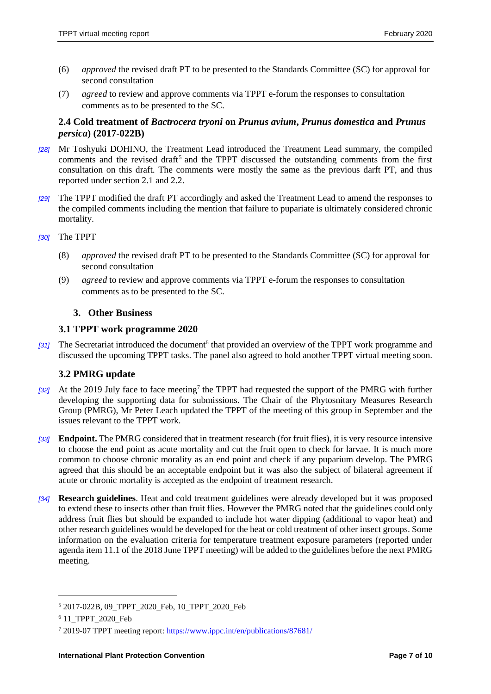- (6) *approved* the revised draft PT to be presented to the Standards Committee (SC) for approval for second consultation
- (7) *agreed* to review and approve comments via TPPT e-forum the responses to consultation comments as to be presented to the SC.

# <span id="page-6-0"></span>**2.4 Cold treatment of** *Bactrocera tryoni* **on** *Prunus avium***,** *Prunus domestica* **and** *Prunus persica***) (2017-022B)**

- *[28]* Mr Toshyuki DOHINO, the Treatment Lead introduced the Treatment Lead summary, the compiled comments and the revised draft<sup>5</sup> and the TPPT discussed the outstanding comments from the first consultation on this draft. The comments were mostly the same as the previous darft PT, and thus reported under section 2.1 and 2.2.
- *[29]* The TPPT modified the draft PT accordingly and asked the Treatment Lead to amend the responses to the compiled comments including the mention that failure to pupariate is ultimately considered chronic mortality.
- *[30]* The TPPT
	- (8) *approved* the revised draft PT to be presented to the Standards Committee (SC) for approval for second consultation
	- (9) *agreed* to review and approve comments via TPPT e-forum the responses to consultation comments as to be presented to the SC.

# <span id="page-6-1"></span>**3. Other Business**

# <span id="page-6-2"></span>**3.1 TPPT work programme 2020**

[31] The Secretariat introduced the document<sup>6</sup> that provided an overview of the TPPT work programme and discussed the upcoming TPPT tasks. The panel also agreed to hold another TPPT virtual meeting soon.

# <span id="page-6-3"></span>**3.2 PMRG update**

- [32] At the 2019 July face to face meeting<sup>7</sup> the TPPT had requested the support of the PMRG with further developing the supporting data for submissions. The Chair of the Phytosnitary Measures Research Group (PMRG), Mr Peter Leach updated the TPPT of the meeting of this group in September and the issues relevant to the TPPT work.
- *[33]* **Endpoint.** The PMRG considered that in treatment research (for fruit flies), it is very resource intensive to choose the end point as acute mortality and cut the fruit open to check for larvae. It is much more common to choose chronic morality as an end point and check if any puparium develop. The PMRG agreed that this should be an acceptable endpoint but it was also the subject of bilateral agreement if acute or chronic mortality is accepted as the endpoint of treatment research.
- *[34]* **Research guidelines**. Heat and cold treatment guidelines were already developed but it was proposed to extend these to insects other than fruit flies. However the PMRG noted that the guidelines could only address fruit flies but should be expanded to include hot water dipping (additional to vapor heat) and other research guidelines would be developed for the heat or cold treatment of other insect groups. Some information on the evaluation criteria for temperature treatment exposure parameters (reported under agenda item 11.1 of the 2018 June TPPT meeting) will be added to the guidelines before the next PMRG meeting.

l

<sup>5</sup> 2017-022B, 09\_TPPT\_2020\_Feb, 10\_TPPT\_2020\_Feb

<sup>&</sup>lt;sup>6</sup> 11\_TPPT\_2020\_Feb

<sup>7</sup> 2019-07 TPPT meeting report:<https://www.ippc.int/en/publications/87681/>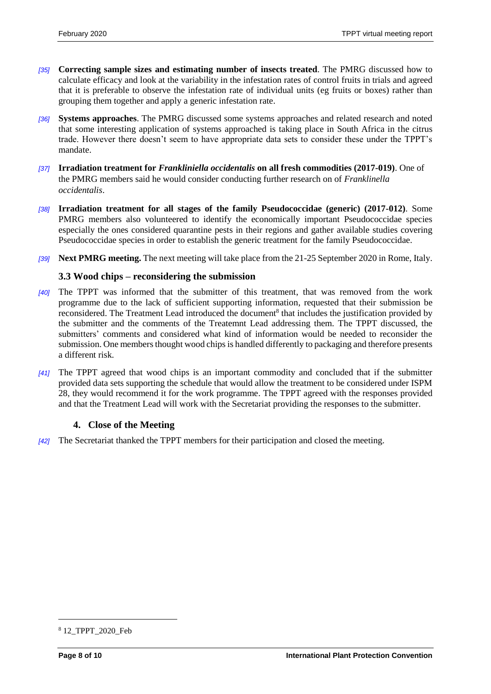- *[35]* **Correcting sample sizes and estimating number of insects treated**. The PMRG discussed how to calculate efficacy and look at the variability in the infestation rates of control fruits in trials and agreed that it is preferable to observe the infestation rate of individual units (eg fruits or boxes) rather than grouping them together and apply a generic infestation rate.
- *[36]* **Systems approaches**. The PMRG discussed some systems approaches and related research and noted that some interesting application of systems approached is taking place in South Africa in the citrus trade. However there doesn't seem to have appropriate data sets to consider these under the TPPT's mandate.
- *[37]* **Irradiation treatment for** *Frankliniella occidentalis* **on all fresh commodities (2017-019)**. One of the PMRG members said he would consider conducting further research on of *Franklinella occidentalis*.
- *[38]* **Irradiation treatment for all stages of the family Pseudococcidae (generic) (2017-012)**. Some PMRG members also volunteered to identify the economically important Pseudococcidae species especially the ones considered quarantine pests in their regions and gather available studies covering Pseudococcidae species in order to establish the generic treatment for the family Pseudococcidae.
- *[39]* **Next PMRG meeting.** The next meeting will take place from the 21-25 September 2020 in Rome, Italy.

# <span id="page-7-0"></span>**3.3 Wood chips – reconsidering the submission**

- *[40]* The TPPT was informed that the submitter of this treatment, that was removed from the work programme due to the lack of sufficient supporting information, requested that their submission be reconsidered. The Treatment Lead introduced the document<sup>8</sup> that includes the justification provided by the submitter and the comments of the Treatemnt Lead addressing them. The TPPT discussed, the submitters' comments and considered what kind of information would be needed to reconsider the submission. One members thought wood chips is handled differently to packaging and therefore presents a different risk.
- *[41]* The TPPT agreed that wood chips is an important commodity and concluded that if the submitter provided data sets supporting the schedule that would allow the treatment to be considered under ISPM 28, they would recommend it for the work programme. The TPPT agreed with the responses provided and that the Treatment Lead will work with the Secretariat providing the responses to the submitter.

# <span id="page-7-1"></span>**4. Close of the Meeting**

*[42]* The Secretariat thanked the TPPT members for their participation and closed the meeting.

 $\overline{a}$ 

<sup>&</sup>lt;sup>8</sup> 12 TPPT 2020 Feb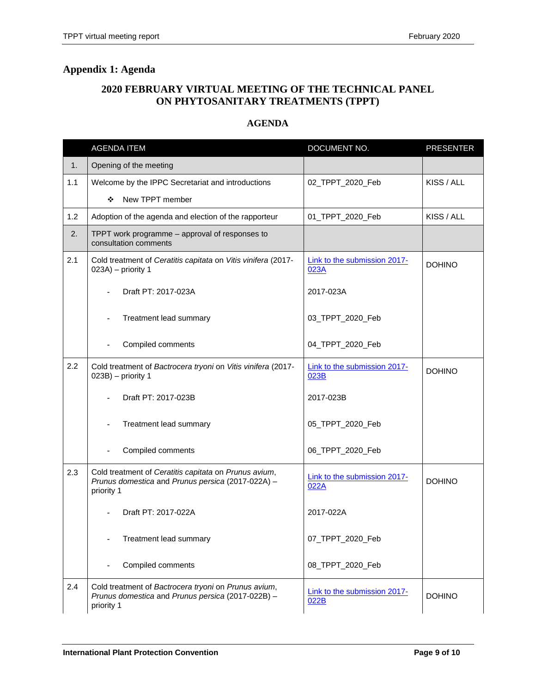# **2020 FEBRUARY VIRTUAL MEETING OF THE TECHNICAL PANEL ON PHYTOSANITARY TREATMENTS (TPPT)**

# **AGENDA**

<span id="page-8-0"></span>

|     | <b>AGENDA ITEM</b>                                                                                                       | DOCUMENT NO.                         | <b>PRESENTER</b> |
|-----|--------------------------------------------------------------------------------------------------------------------------|--------------------------------------|------------------|
| 1.  | Opening of the meeting                                                                                                   |                                      |                  |
| 1.1 | Welcome by the IPPC Secretariat and introductions                                                                        | 02_TPPT_2020_Feb                     | KISS / ALL       |
|     | New TPPT member<br>❖                                                                                                     |                                      |                  |
| 1.2 | Adoption of the agenda and election of the rapporteur                                                                    | 01_TPPT_2020_Feb                     | KISS / ALL       |
| 2.  | TPPT work programme - approval of responses to<br>consultation comments                                                  |                                      |                  |
| 2.1 | Cold treatment of Ceratitis capitata on Vitis vinifera (2017-<br>023A) - priority 1                                      | Link to the submission 2017-<br>023A | <b>DOHINO</b>    |
|     | Draft PT: 2017-023A                                                                                                      | 2017-023A                            |                  |
|     | Treatment lead summary                                                                                                   | 03_TPPT_2020_Feb                     |                  |
|     | Compiled comments                                                                                                        | 04_TPPT_2020_Feb                     |                  |
| 2.2 | Cold treatment of Bactrocera tryoni on Vitis vinifera (2017-<br>023B) - priority 1                                       | Link to the submission 2017-<br>023B | <b>DOHINO</b>    |
|     | Draft PT: 2017-023B                                                                                                      | 2017-023B                            |                  |
|     | Treatment lead summary                                                                                                   | 05_TPPT_2020_Feb                     |                  |
|     | Compiled comments                                                                                                        | 06_TPPT_2020_Feb                     |                  |
| 2.3 | Cold treatment of Ceratitis capitata on Prunus avium,<br>Prunus domestica and Prunus persica (2017-022A) -<br>priority 1 | Link to the submission 2017-<br>022A | <b>DOHINO</b>    |
|     | Draft PT: 2017-022A                                                                                                      | 2017-022A                            |                  |
|     | Treatment lead summary                                                                                                   | 07_TPPT_2020_Feb                     |                  |
|     | Compiled comments                                                                                                        | 08_TPPT_2020_Feb                     |                  |
| 2.4 | Cold treatment of Bactrocera tryoni on Prunus avium,<br>Prunus domestica and Prunus persica (2017-022B) -<br>priority 1  | Link to the submission 2017-<br>022B | <b>DOHINO</b>    |